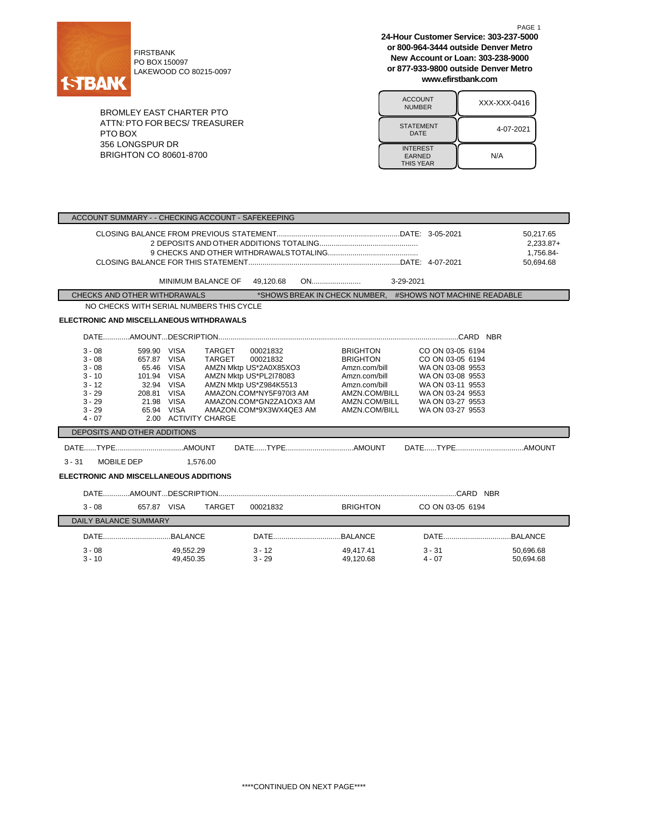

PO BOX 150097 LAKEWOOD CO 80215-0097

BROMLEY EAST CHARTER PTO ATTN:PTO FOR BECS/ TREASURER PTO BOX 356 LONGSPUR DR BRIGHTON CO 80601-8700

**24-Hour Customer Service: 303-237-5000 or 800-964-3444 outside Denver Metro New Account or Loan: 303-238-9000 or 877-933-9800 outside Denver Metro www.efirstbank.com**

| <b>ACCOUNT</b><br><b>NUMBER</b>                      | XXX-XXX-0416 |
|------------------------------------------------------|--------------|
| <b>STATEMENT</b><br>DATE                             | 4-07-2021    |
| <b>INTEREST</b><br><b>EARNED</b><br><b>THIS YEAR</b> | N/A          |

| ACCOUNT SUMMARY - - CHECKING ACCOUNT - SAFEKEEPING                                                                                                                                                                                                   |                                                                                                                                                                                                         |                                                                                                                                          |                                                                                                                                                              |                                                    |  |  |
|------------------------------------------------------------------------------------------------------------------------------------------------------------------------------------------------------------------------------------------------------|---------------------------------------------------------------------------------------------------------------------------------------------------------------------------------------------------------|------------------------------------------------------------------------------------------------------------------------------------------|--------------------------------------------------------------------------------------------------------------------------------------------------------------|----------------------------------------------------|--|--|
|                                                                                                                                                                                                                                                      |                                                                                                                                                                                                         |                                                                                                                                          |                                                                                                                                                              | 50,217.65<br>$2,233.87+$<br>1,756.84-<br>50,694.68 |  |  |
| MINIMUM BALANCE OF                                                                                                                                                                                                                                   |                                                                                                                                                                                                         |                                                                                                                                          |                                                                                                                                                              |                                                    |  |  |
| CHECKS AND OTHER WITHDRAWALS                                                                                                                                                                                                                         |                                                                                                                                                                                                         |                                                                                                                                          | *SHOWS BREAK IN CHECK NUMBER. #SHOWS NOT MACHINE READABLE                                                                                                    |                                                    |  |  |
| NO CHECKS WITH SERIAL NUMBERS THIS CYCLE                                                                                                                                                                                                             |                                                                                                                                                                                                         |                                                                                                                                          |                                                                                                                                                              |                                                    |  |  |
| <b>ELECTRONIC AND MISCELLANEOUS WITHDRAWALS</b>                                                                                                                                                                                                      |                                                                                                                                                                                                         |                                                                                                                                          |                                                                                                                                                              |                                                    |  |  |
|                                                                                                                                                                                                                                                      |                                                                                                                                                                                                         |                                                                                                                                          |                                                                                                                                                              |                                                    |  |  |
| $3 - 08$<br>599.90 VISA<br>$3 - 08$<br>657.87 VISA<br>$3 - 08$<br>65.46 VISA<br>$3 - 10$<br>101.94 VISA<br>$3 - 12$<br>32.94 VISA<br>208.81 VISA<br>$3 - 29$<br>$3 - 29$<br>21.98 VISA<br>$3 - 29$<br>65.94 VISA<br>$4 - 07$<br>2.00 ACTIVITY CHARGE | TARGET<br>00021832<br>TARGET<br>00021832<br>AMZN Mktp US*2A0X85XO3<br>AMZN Mktp US*PL2I78083<br>AMZN Mktp US*Z984K5513<br>AMAZON.COM*NY5F970I3 AM<br>AMAZON.COM*GN2ZA1OX3 AM<br>AMAZON.COM*9X3WX4QE3 AM | <b>BRIGHTON</b><br><b>BRIGHTON</b><br>Amzn.com/bill<br>Amzn.com/bill<br>Amzn.com/bill<br>AMZN.COM/BILL<br>AMZN.COM/BILL<br>AMZN.COM/BILL | CO ON 03-05 6194<br>CO ON 03-05 6194<br>WA ON 03-08 9553<br>WA ON 03-08 9553<br>WA ON 03-11 9553<br>WA ON 03-24 9553<br>WA ON 03-27 9553<br>WA ON 03-27 9553 |                                                    |  |  |
| DEPOSITS AND OTHER ADDITIONS                                                                                                                                                                                                                         |                                                                                                                                                                                                         |                                                                                                                                          |                                                                                                                                                              |                                                    |  |  |
| MOBILE DEP 1,576.00<br>$3 - 31$<br><b>ELECTRONIC AND MISCELLANEOUS ADDITIONS</b>                                                                                                                                                                     |                                                                                                                                                                                                         |                                                                                                                                          |                                                                                                                                                              |                                                    |  |  |
|                                                                                                                                                                                                                                                      |                                                                                                                                                                                                         |                                                                                                                                          |                                                                                                                                                              |                                                    |  |  |
| $3 - 08$<br>657.87 VISA                                                                                                                                                                                                                              | TARGET<br>00021832                                                                                                                                                                                      |                                                                                                                                          | BRIGHTON CO ON 03-05 6194                                                                                                                                    |                                                    |  |  |
| <b>DAILY BALANCE SUMMARY</b>                                                                                                                                                                                                                         |                                                                                                                                                                                                         |                                                                                                                                          |                                                                                                                                                              |                                                    |  |  |
|                                                                                                                                                                                                                                                      |                                                                                                                                                                                                         |                                                                                                                                          |                                                                                                                                                              |                                                    |  |  |
|                                                                                                                                                                                                                                                      |                                                                                                                                                                                                         |                                                                                                                                          |                                                                                                                                                              |                                                    |  |  |
| $3 - 08$<br>49,552.29<br>$3 - 10$<br>49,450.35                                                                                                                                                                                                       | $3 - 12$<br>$3 - 29$                                                                                                                                                                                    | 49,417.41<br>49,120.68                                                                                                                   | $3 - 31$<br>$4 - 07$                                                                                                                                         | 50,696.68<br>50.694.68                             |  |  |